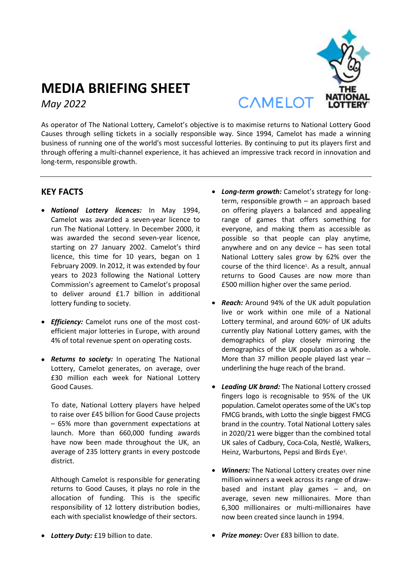

# **MEDIA BRIEFING SHEET** *May 2022*

As operator of The National Lottery, Camelot's objective is to maximise returns to National Lottery Good Causes through selling tickets in a socially responsible way. Since 1994, Camelot has made a winning business of running one of the world's most successful lotteries. By continuing to put its players first and through offering a multi-channel experience, it has achieved an impressive track record in innovation and long-term, responsible growth.

## **KEY FACTS**

- *National Lottery licences:* In May 1994, Camelot was awarded a seven-year licence to run The National Lottery. In December 2000, it was awarded the second seven-year licence, starting on 27 January 2002. Camelot's third licence, this time for 10 years, began on 1 February 2009. In 2012, it was extended by four years to 2023 following the National Lottery Commission's agreement to Camelot's proposal to deliver around £1.7 billion in additional lottery funding to society.
- *Efficiency:* Camelot runs one of the most costefficient major lotteries in Europe, with around 4% of total revenue spent on operating costs.
- *Returns to society:* In operating The National Lottery, Camelot generates, on average, over £30 million each week for National Lottery Good Causes.

To date, National Lottery players have helped to raise over £45 billion for Good Cause projects – 65% more than government expectations at launch. More than 660,000 funding awards have now been made throughout the UK, an average of 235 lottery grants in every postcode district.

Although Camelot is responsible for generating returns to Good Causes, it plays no role in the allocation of funding. This is the specific responsibility of 12 lottery distribution bodies, each with specialist knowledge of their sectors.

- *Long-term growth:* Camelot's strategy for longterm, responsible growth – an approach based on offering players a balanced and appealing range of games that offers something for everyone, and making them as accessible as possible so that people can play anytime, anywhere and on any device – has seen total National Lottery sales grow by 62% over the course of the third licence<sup>1</sup> . As a result, annual returns to Good Causes are now more than £500 million higher over the same period.
- *Reach:* Around 94% of the UK adult population live or work within one mile of a National Lottery terminal, and around 60%<sup>2</sup> of UK adults currently play National Lottery games, with the demographics of play closely mirroring the demographics of the UK population as a whole. More than 37 million people played last year – underlining the huge reach of the brand.
- *Leading UK brand:* The National Lottery crossed fingers logo is recognisable to 95% of the UK population. Camelot operates some of the UK's top FMCG brands, with Lotto the single biggest FMCG brand in the country. Total National Lottery sales in 2020/21 were bigger than the combined total UK sales of Cadbury, Coca-Cola, Nestlé, Walkers, Heinz, Warburtons, Pepsi and Birds Eye<sup>3</sup> .
- *Winners:* The National Lottery creates over nine million winners a week across its range of drawbased and instant play games – and, on average, seven new millionaires. More than 6,300 millionaires or multi-millionaires have now been created since launch in 1994.
- *Lottery Duty:* £19 billion to date.
- *Prize money:* Over £83 billion to date.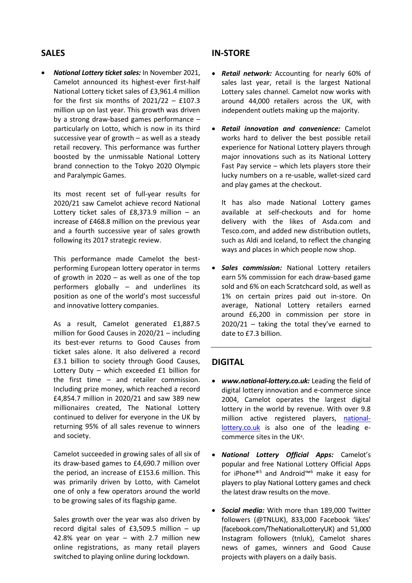## **SALES**

 *National Lottery ticket sales:* In November 2021, Camelot announced its highest-ever first-half National Lottery ticket sales of £3,961.4 million for the first six months of  $2021/22 - £107.3$ million up on last year. This growth was driven by a strong draw-based games performance – particularly on Lotto, which is now in its third successive year of growth – as well as a steady retail recovery. This performance was further boosted by the unmissable National Lottery brand connection to the Tokyo 2020 Olympic and Paralympic Games.

Its most recent set of full-year results for 2020/21 saw Camelot achieve record National Lottery ticket sales of  $£8,373.9$  million - an increase of £468.8 million on the previous year and a fourth successive year of sales growth following its 2017 strategic review.

This performance made Camelot the bestperforming European lottery operator in terms of growth in 2020 – as well as one of the top performers globally – and underlines its position as one of the world's most successful and innovative lottery companies.

As a result, Camelot generated £1,887.5 million for Good Causes in 2020/21 – including its best-ever returns to Good Causes from ticket sales alone. It also delivered a record £3.1 billion to society through Good Causes, Lottery Duty – which exceeded £1 billion for the first time – and retailer commission. Including prize money, which reached a record £4,854.7 million in 2020/21 and saw 389 new millionaires created, The National Lottery continued to deliver for everyone in the UK by returning 95% of all sales revenue to winners and society.

Camelot succeeded in growing sales of all six of its draw-based games to £4,690.7 million over the period, an increase of £153.6 million. This was primarily driven by Lotto, with Camelot one of only a few operators around the world to be growing sales of its flagship game.

Sales growth over the year was also driven by record digital sales of £3,509.5 million – up 42.8% year on year – with 2.7 million new online registrations, as many retail players switched to playing online during lockdown.

## **IN-STORE**

- *Retail network:* Accounting for nearly 60% of sales last year, retail is the largest National Lottery sales channel. Camelot now works with around 44,000 retailers across the UK, with independent outlets making up the majority.
- *Retail innovation and convenience:* Camelot works hard to deliver the best possible retail experience for National Lottery players through major innovations such as its National Lottery Fast Pay service – which lets players store their lucky numbers on a re-usable, wallet-sized card and play games at the checkout.

It has also made National Lottery games available at self-checkouts and for home delivery with the likes of Asda.com and Tesco.com, and added new distribution outlets, such as Aldi and Iceland, to reflect the changing ways and places in which people now shop.

 *Sales commission:* National Lottery retailers earn 5% commission for each draw-based game sold and 6% on each Scratchcard sold, as well as 1% on certain prizes paid out in-store. On average, National Lottery retailers earned around £6,200 in commission per store in 2020/21 – taking the total they've earned to date to £7.3 billion.

## **DIGITAL**

- *www.national-lottery.co.uk:* Leading the field of digital lottery innovation and e-commerce since 2004, Camelot operates the largest digital lottery in the world by revenue. With over 9.8 million active registered players, [national](http://www.national-lottery.co.uk/)[lottery.co.uk](http://www.national-lottery.co.uk/) is also one of the leading ecommerce sites in the UK<sup>4</sup> .
- *National Lottery Official Apps:* Camelot's popular and free National Lottery Official Apps for iPhone®<sup>5</sup> and Android™<sup>6</sup> make it easy for players to play National Lottery games and check the latest draw results on the move.
- *Social media:* With more than 189,000 Twitter followers (@TNLUK), 833,000 Facebook 'likes' (facebook.com/TheNationalLotteryUK) and 51,000 Instagram followers (tnluk), Camelot shares news of games, winners and Good Cause projects with players on a daily basis.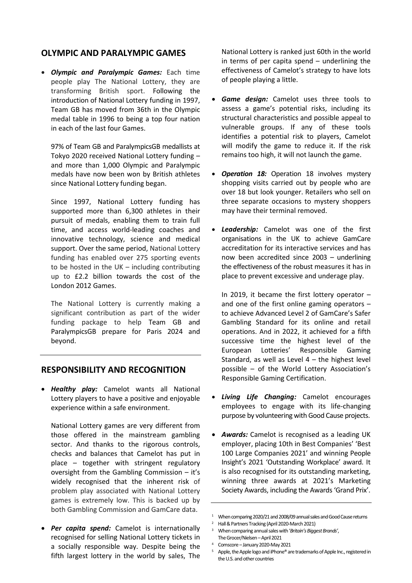#### **OLYMPIC AND PARALYMPIC GAMES**

 *Olympic and Paralympic Games:* Each time people play The National Lottery, they are transforming British sport. Following the introduction of National Lottery funding in 1997, Team GB has moved from 36th in the Olympic medal table in 1996 to being a top four nation in each of the last four Games.

97% of Team GB and ParalympicsGB medallists at Tokyo 2020 received National Lottery funding – and more than 1,000 Olympic and Paralympic medals have now been won by British athletes since National Lottery funding began.

Since 1997, National Lottery funding has supported more than 6,300 athletes in their pursuit of medals, enabling them to train full time, and access world-leading coaches and innovative technology, science and medical support. Over the same period, National Lottery funding has enabled over 275 sporting events to be hosted in the UK – including contributing up to £2.2 billion towards the cost of the London 2012 Games.

The National Lottery is currently making a significant contribution as part of the wider funding package to help Team GB and ParalympicsGB prepare for Paris 2024 and beyond.

#### **RESPONSIBILITY AND RECOGNITION**

 *Healthy play:* Camelot wants all National Lottery players to have a positive and enjoyable experience within a safe environment.

National Lottery games are very different from those offered in the mainstream gambling sector. And thanks to the rigorous controls, checks and balances that Camelot has put in place – together with stringent regulatory oversight from the Gambling Commission – it's widely recognised that the inherent risk of problem play associated with National Lottery games is extremely low. This is backed up by both Gambling Commission and GamCare data.

 *Per capita spend:* Camelot is internationally recognised for selling National Lottery tickets in a socially responsible way. Despite being the fifth largest lottery in the world by sales, The National Lottery is ranked just 60th in the world in terms of per capita spend – underlining the effectiveness of Camelot's strategy to have lots of people playing a little.

- *Game design:* Camelot uses three tools to assess a game's potential risks, including its structural characteristics and possible appeal to vulnerable groups. If any of these tools identifies a potential risk to players, Camelot will modify the game to reduce it. If the risk remains too high, it will not launch the game.
- **Operation 18:** Operation 18 involves mystery shopping visits carried out by people who are over 18 but look younger. Retailers who sell on three separate occasions to mystery shoppers may have their terminal removed.
- *Leadership:* Camelot was one of the first organisations in the UK to achieve GamCare accreditation for its interactive services and has now been accredited since 2003 – underlining the effectiveness of the robust measures it has in place to prevent excessive and underage play.

In 2019, it became the first lottery operator – and one of the first online gaming operators – to achieve Advanced Level 2 of GamCare's Safer Gambling Standard for its online and retail operations. And in 2022, it achieved for a fifth successive time the highest level of the European Lotteries' Responsible Gaming Standard, as well as Level  $4$  – the highest level possible – of the World Lottery Association's Responsible Gaming Certification.

- *Living Life Changing:* Camelot encourages employees to engage with its life-changing purpose by volunteering with Good Cause projects.
- *Awards:* Camelot is recognised as a leading UK employer, placing 10th in Best Companies' 'Best 100 Large Companies 2021' and winning People Insight's 2021 'Outstanding Workplace' award. It is also recognised for its outstanding marketing, winning three awards at 2021's Marketing Society Awards, including the Awards 'Grand Prix'.

<sup>&</sup>lt;sup>1</sup> When comparing 2020/21 and 2008/09 annual sales and Good Cause returns

<sup>2</sup> Hall & Partners Tracking (April 2020-March 2021)

<sup>&</sup>lt;sup>3</sup> When comparing annual sales with 'Britain's Biggest Brands',

The Grocer/Nielsen –April 2021

<sup>4</sup> Comscore –January 2020-May 2021

Apple, the Apple logo and iPhone® are trademarks of Apple Inc., registered in the U.S. and other countries